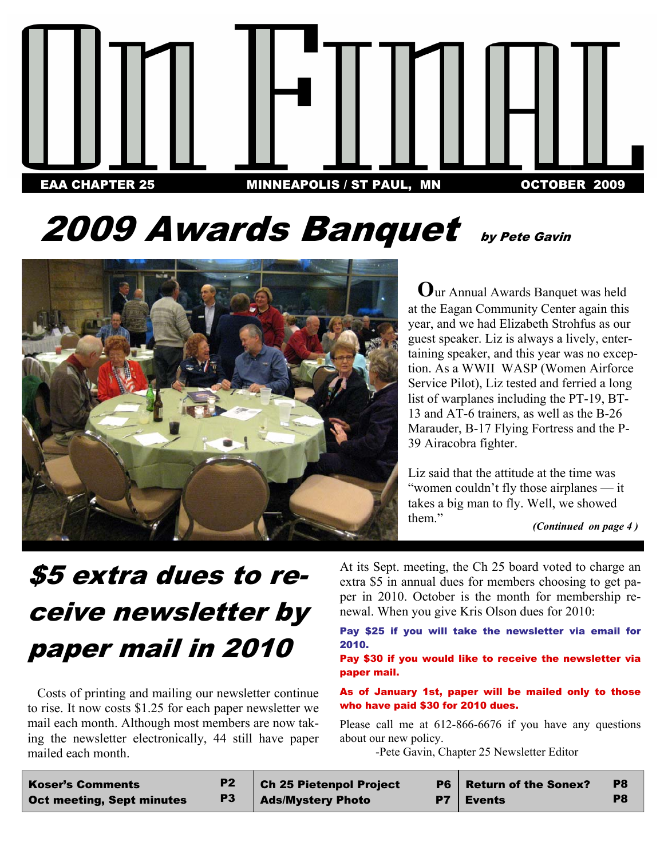

# 2009 Awards Banquet by Pete Gavin



 **O**ur Annual Awards Banquet was held at the Eagan Community Center again this year, and we had Elizabeth Strohfus as our guest speaker. Liz is always a lively, entertaining speaker, and this year was no exception. As a WWII WASP (Women Airforce Service Pilot), Liz tested and ferried a long list of warplanes including the PT-19, BT-13 and AT-6 trainers, as well as the B-26 Marauder, B-17 Flying Fortress and the P-39 Airacobra fighter.

Liz said that the attitude at the time was "women couldn't fly those airplanes — it takes a big man to fly. Well, we showed them"

 *(Continued on page 4 )* 

# \$5 extra dues to receive newsletter by paper mail in 2010

 Costs of printing and mailing our newsletter continue to rise. It now costs \$1.25 for each paper newsletter we mail each month. Although most members are now taking the newsletter electronically, 44 still have paper mailed each month.

At its Sept. meeting, the Ch 25 board voted to charge an extra \$5 in annual dues for members choosing to get paper in 2010. October is the month for membership renewal. When you give Kris Olson dues for 2010:

Pay \$25 if you will take the newsletter via email for 2010.

Pay \$30 if you would like to receive the newsletter via paper mail.

### As of January 1st, paper will be mailed only to those who have paid \$30 for 2010 dues.

Please call me at 612-866-6676 if you have any questions about our new policy.

-Pete Gavin, Chapter 25 Newsletter Editor

| <b>Koser's Comments</b>          |                | P2   Ch 25 Pietenpol Project | <b>P6</b> Return of the Sonex? | P8             |
|----------------------------------|----------------|------------------------------|--------------------------------|----------------|
| <b>Oct meeting, Sept minutes</b> | P <sub>3</sub> | <b>Ads/Mystery Photo</b>     | $P7$   Events                  | P <sub>8</sub> |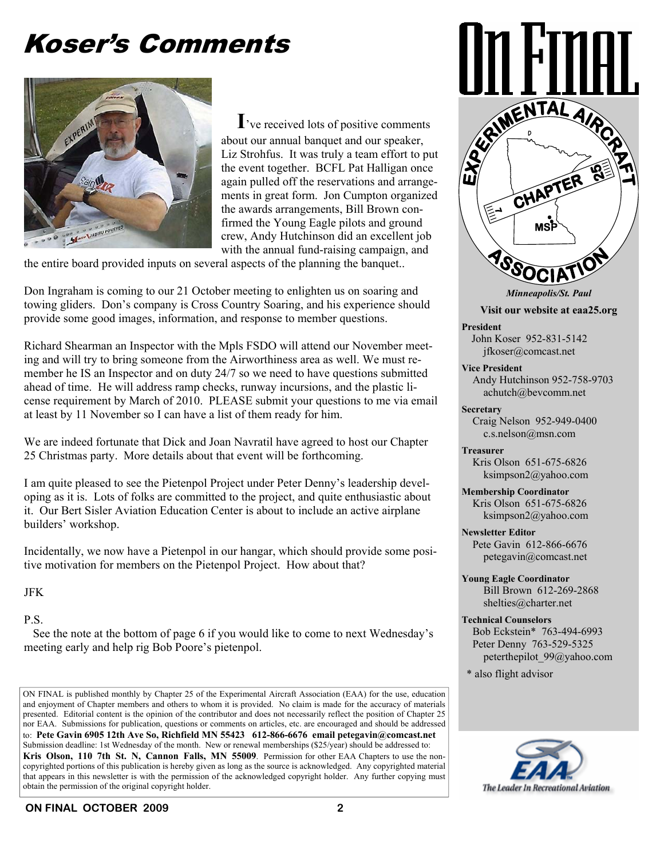# Koser's Comments



 **I**'ve received lots of positive comments about our annual banquet and our speaker, Liz Strohfus. It was truly a team effort to put the event together. BCFL Pat Halligan once again pulled off the reservations and arrangements in great form. Jon Cumpton organized the awards arrangements, Bill Brown confirmed the Young Eagle pilots and ground crew, Andy Hutchinson did an excellent job with the annual fund-raising campaign, and

the entire board provided inputs on several aspects of the planning the banquet..

Don Ingraham is coming to our 21 October meeting to enlighten us on soaring and towing gliders. Don's company is Cross Country Soaring, and his experience should provide some good images, information, and response to member questions.

Richard Shearman an Inspector with the Mpls FSDO will attend our November meeting and will try to bring someone from the Airworthiness area as well. We must remember he IS an Inspector and on duty 24/7 so we need to have questions submitted ahead of time. He will address ramp checks, runway incursions, and the plastic license requirement by March of 2010. PLEASE submit your questions to me via email at least by 11 November so I can have a list of them ready for him.

We are indeed fortunate that Dick and Joan Navratil have agreed to host our Chapter 25 Christmas party. More details about that event will be forthcoming.

I am quite pleased to see the Pietenpol Project under Peter Denny's leadership developing as it is. Lots of folks are committed to the project, and quite enthusiastic about it. Our Bert Sisler Aviation Education Center is about to include an active airplane builders' workshop.

Incidentally, we now have a Pietenpol in our hangar, which should provide some positive motivation for members on the Pietenpol Project. How about that?

JFK

### P.S.

 See the note at the bottom of page 6 if you would like to come to next Wednesday's meeting early and help rig Bob Poore's pietenpol.

ON FINAL is published monthly by Chapter 25 of the Experimental Aircraft Association (EAA) for the use, education and enjoyment of Chapter members and others to whom it is provided. No claim is made for the accuracy of materials presented. Editorial content is the opinion of the contributor and does not necessarily reflect the position of Chapter 25 nor EAA. Submissions for publication, questions or comments on articles, etc. are encouraged and should be addressed to: **Pete Gavin 6905 12th Ave So, Richfield MN 55423 612-866-6676 email petegavin@comcast.net**  Submission deadline: 1st Wednesday of the month. New or renewal memberships (\$25/year) should be addressed to: **Kris Olson, 110 7th St. N, Cannon Falls, MN 55009**. Permission for other EAA Chapters to use the noncopyrighted portions of this publication is hereby given as long as the source is acknowledged. Any copyrighted material that appears in this newsletter is with the permission of the acknowledged copyright holder. Any further copying must obtain the permission of the original copyright holder.



*Minneapolis/St. Paul* 

**Visit our website at eaa25.org** 

**President** 

John Koser 952-831-5142 jfkoser@comcast.net

**Vice President** Andy Hutchinson 952-758-9703 achutch@bevcomm.net

**Secretary** Craig Nelson 952-949-0400 c.s.nelson@msn.com

**Treasurer** Kris Olson 651-675-6826 ksimpson2@yahoo.com

**Membership Coordinator** Kris Olson 651-675-6826 ksimpson2@yahoo.com

**Newsletter Editor** Pete Gavin 612-866-6676 petegavin@comcast.net

**Young Eagle Coordinator** Bill Brown 612-269-2868 shelties@charter.net

**Technical Counselors** Bob Eckstein\* 763-494-6993 Peter Denny 763-529-5325 peterthepilot\_99@yahoo.com

\* also flight advisor

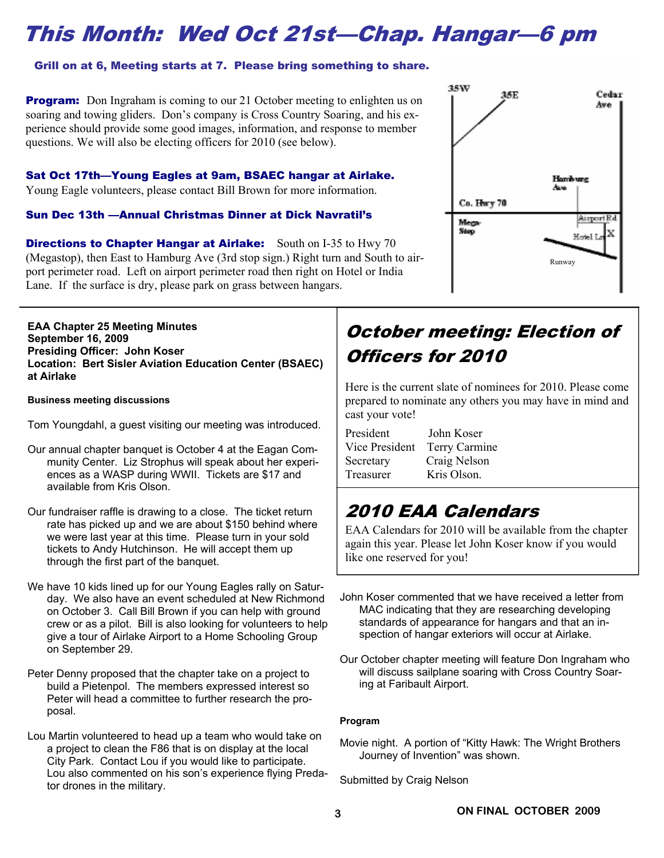## This Month: Wed Oct 21st—Chap. Hangar—6 pm

### Grill on at 6, Meeting starts at 7. Please bring something to share.

**Program:** Don Ingraham is coming to our 21 October meeting to enlighten us on soaring and towing gliders. Don's company is Cross Country Soaring, and his experience should provide some good images, information, and response to member questions. We will also be electing officers for 2010 (see below).

### Sat Oct 17th—Young Eagles at 9am, BSAEC hangar at Airlake.

Young Eagle volunteers, please contact Bill Brown for more information.

### Sun Dec 13th —Annual Christmas Dinner at Dick Navratil's

**Directions to Chapter Hangar at Airlake:** South on I-35 to Hwy 70 (Megastop), then East to Hamburg Ave (3rd stop sign.) Right turn and South to airport perimeter road. Left on airport perimeter road then right on Hotel or India Lane. If the surface is dry, please park on grass between hangars.

**EAA Chapter 25 Meeting Minutes September 16, 2009 Presiding Officer: John Koser Location: Bert Sisler Aviation Education Center (BSAEC) at Airlake** 

#### **Business meeting discussions**

Tom Youngdahl, a guest visiting our meeting was introduced.

- Our annual chapter banquet is October 4 at the Eagan Community Center. Liz Strophus will speak about her experiences as a WASP during WWII. Tickets are \$17 and available from Kris Olson.
- Our fundraiser raffle is drawing to a close. The ticket return rate has picked up and we are about \$150 behind where we were last year at this time. Please turn in your sold tickets to Andy Hutchinson. He will accept them up through the first part of the banquet.
- We have 10 kids lined up for our Young Eagles rally on Saturday. We also have an event scheduled at New Richmond on October 3. Call Bill Brown if you can help with ground crew or as a pilot. Bill is also looking for volunteers to help give a tour of Airlake Airport to a Home Schooling Group on September 29.
- Peter Denny proposed that the chapter take on a project to build a Pietenpol. The members expressed interest so Peter will head a committee to further research the proposal.
- Lou Martin volunteered to head up a team who would take on a project to clean the F86 that is on display at the local City Park. Contact Lou if you would like to participate. Lou also commented on his son's experience flying Predator drones in the military.



## October meeting: Election of Officers for 2010

Here is the current slate of nominees for 2010. Please come prepared to nominate any others you may have in mind and cast your vote!

| President      | John Koser    |
|----------------|---------------|
| Vice President | Terry Carmine |
| Secretary      | Craig Nelson  |
| Treasurer      | Kris Olson.   |

## 2010 EAA Calendars

EAA Calendars for 2010 will be available from the chapter again this year. Please let John Koser know if you would like one reserved for you!

- John Koser commented that we have received a letter from MAC indicating that they are researching developing standards of appearance for hangars and that an inspection of hangar exteriors will occur at Airlake.
- Our October chapter meeting will feature Don Ingraham who will discuss sailplane soaring with Cross Country Soaring at Faribault Airport.

### **Program**

Movie night. A portion of "Kitty Hawk: The Wright Brothers Journey of Invention" was shown.

Submitted by Craig Nelson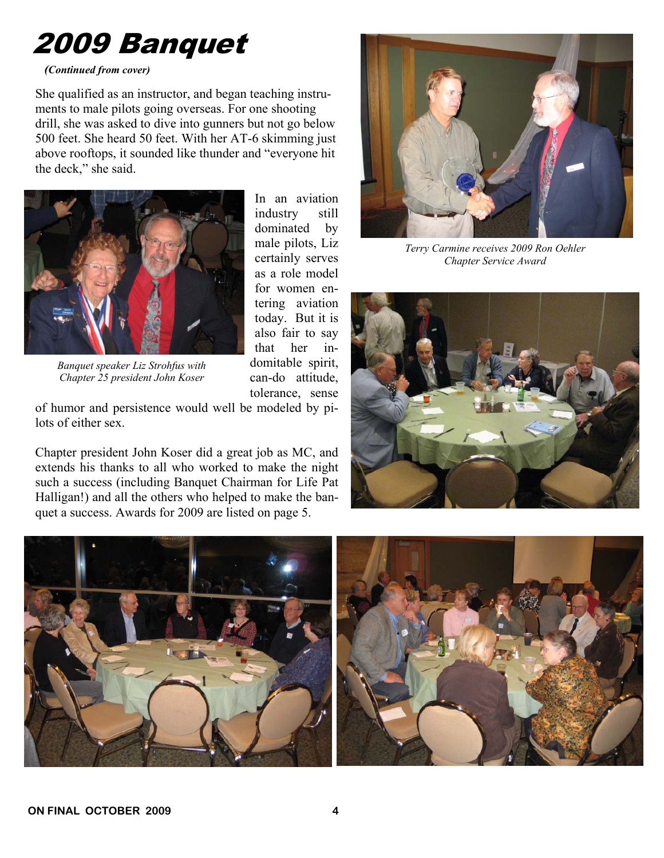# 2009 Banquet

 *(Continued from cover)* 

She qualified as an instructor, and began teaching instruments to male pilots going overseas. For one shooting drill, she was asked to dive into gunners but not go below 500 feet. She heard 50 feet. With her AT-6 skimming just above rooftops, it sounded like thunder and "everyone hit the deck," she said.

> In an aviation industry still dominated by male pilots, Liz certainly serves as a role model for women entering aviation today. But it is also fair to say that her indomitable spirit, can-do attitude, tolerance, sense



*Banquet speaker Liz Strohfus with Chapter 25 president John Koser* 

of humor and persistence would well be modeled by pilots of either sex.

Chapter president John Koser did a great job as MC, and extends his thanks to all who worked to make the night such a success (including Banquet Chairman for Life Pat Halligan!) and all the others who helped to make the banquet a success. Awards for 2009 are listed on page 5.



*Terry Carmine receives 2009 Ron Oehler Chapter Service Award* 



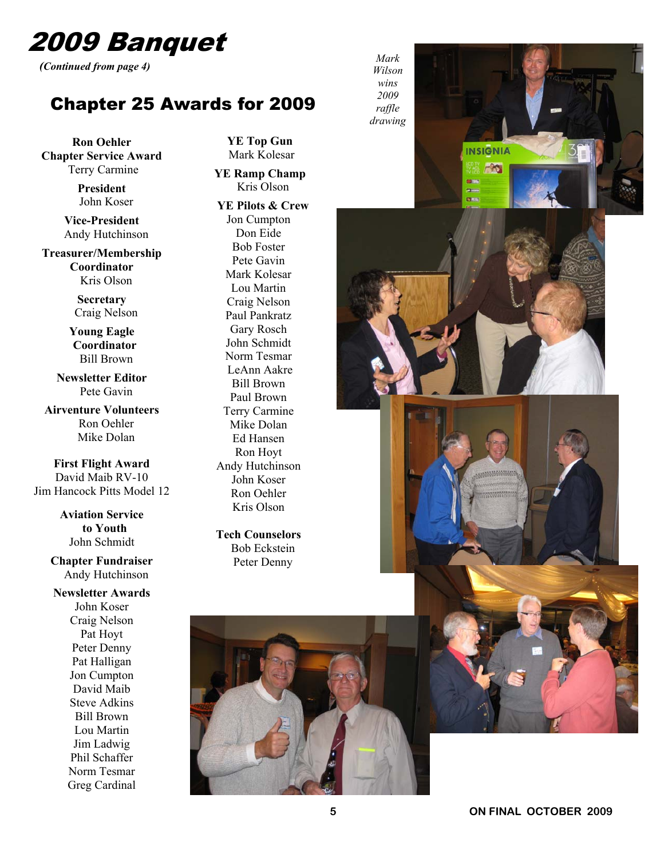

 *(Continued from page 4)* 

## Chapter 25 Awards for 2009

**Ron Oehler Chapter Service Award**  Terry Carmine

> **President**  John Koser

**Vice-President**  Andy Hutchinson

**Treasurer/Membership Coordinator**  Kris Olson

> **Secretary**  Craig Nelson

**Young Eagle Coordinator**  Bill Brown

**Newsletter Editor**  Pete Gavin

**Airventure Volunteers**  Ron Oehler Mike Dolan

**First Flight Award**  David Maib RV-10 Jim Hancock Pitts Model 12

> **Aviation Service to Youth**  John Schmidt

**Chapter Fundraiser**  Andy Hutchinson

**Newsletter Awards**  John Koser Craig Nelson Pat Hoyt Peter Denny Pat Halligan Jon Cumpton David Maib Steve Adkins Bill Brown Lou Martin Jim Ladwig Phil Schaffer Norm Tesmar Greg Cardinal

**YE Top Gun** Mark Kolesar

 **YE Ramp Champ**  Kris Olson

 **YE Pilots & Crew** Jon Cumpton Don Eide Bob Foster Pete Gavin Mark Kolesar Lou Martin Craig Nelson Paul Pankratz Gary Rosch John Schmidt Norm Tesmar LeAnn Aakre Bill Brown Paul Brown Terry Carmine Mike Dolan Ed Hansen Ron Hoyt Andy Hutchinson John Koser Ron Oehler Kris Olson

**Tech Counselors**  Bob Eckstein Peter Denny



*Wilson wins 2009 raffle drawing* **INSIGNIA** FR. **LYKS** 

*Mark* 





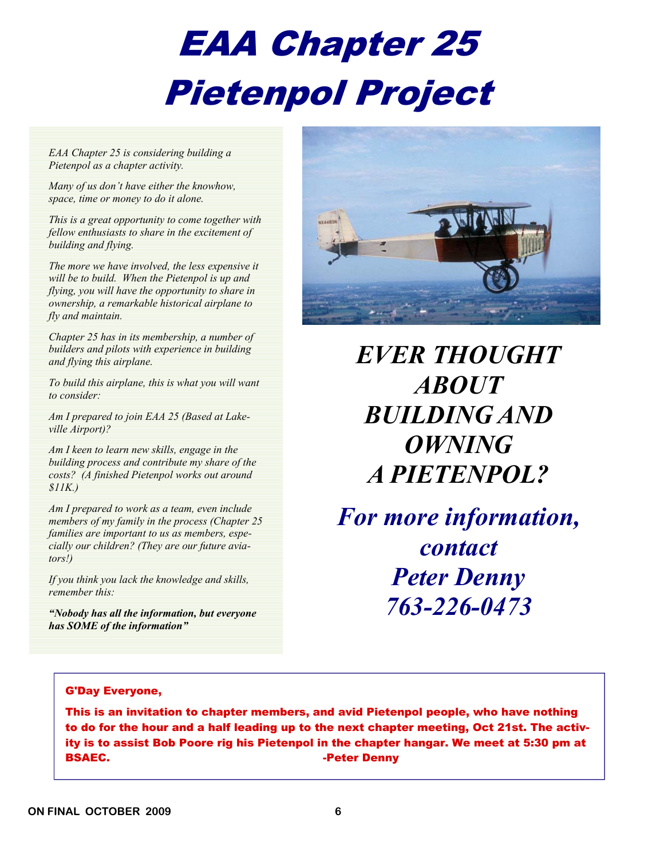# EAA Chapter 25 Pietenpol Project

*EAA Chapter 25 is considering building a Pietenpol as a chapter activity.* 

*Many of us don't have either the knowhow, space, time or money to do it alone.* 

*This is a great opportunity to come together with fellow enthusiasts to share in the excitement of building and flying.* 

*The more we have involved, the less expensive it will be to build. When the Pietenpol is up and flying, you will have the opportunity to share in ownership, a remarkable historical airplane to fly and maintain.* 

*Chapter 25 has in its membership, a number of builders and pilots with experience in building and flying this airplane.* 

*To build this airplane, this is what you will want to consider:* 

*Am I prepared to join EAA 25 (Based at Lakeville Airport)?* 

*Am I keen to learn new skills, engage in the building process and contribute my share of the costs? (A finished Pietenpol works out around \$11K.)* 

*Am I prepared to work as a team, even include members of my family in the process (Chapter 25 families are important to us as members, especially our children? (They are our future aviators!)* 

*If you think you lack the knowledge and skills, remember this:* 

*"Nobody has all the information, but everyone has SOME of the information"* 



*EVER THOUGHT ABOUT BUILDING AND OWNING A PIETENPOL?* 

*For more information, contact Peter Denny 763-226-0473*

### G'Day Everyone,

This is an invitation to chapter members, and avid Pietenpol people, who have nothing to do for the hour and a half leading up to the next chapter meeting, Oct 21st. The activity is to assist Bob Poore rig his Pietenpol in the chapter hangar. We meet at 5:30 pm at BSAEC. **Example 20 and 20 and 20 and 20 and 20 and 20 and 20 and 20 and 20 and 20 and 20 and 20 and 20 and 20 and 20 and 20 and 20 and 20 and 20 and 20 and 20 and 20 and 20 and 20 and 20 and 20 and 20 and 20 and 20 and 20**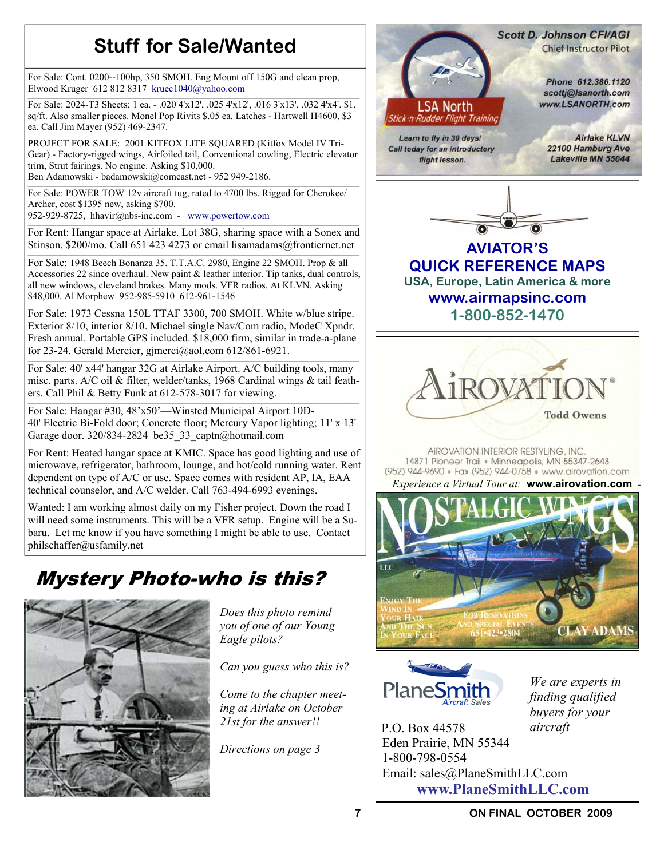## **Stuff for Sale/Wanted**

For Sale: Cont. 0200--100hp, 350 SMOH. Eng Mount off 150G and clean prop, Elwood Kruger 612 812 8317 kruec1040@yahoo.com

For Sale: 2024-T3 Sheets; 1 ea. - .020 4'x12', .025 4'x12', .016 3'x13', .032 4'x4'. \$1, sq/ft. Also smaller pieces. Monel Pop Rivits \$.05 ea. Latches - Hartwell H4600, \$3 ea. Call Jim Mayer (952) 469-2347.

PROJECT FOR SALE: 2001 KITFOX LITE SQUARED (Kitfox Model IV Tri-Gear) - Factory-rigged wings, Airfoiled tail, Conventional cowling, Electric elevator trim, Strut fairings. No engine. Asking \$10,000.

Ben Adamowski - badamowski@comcast.net - 952 949-2186.

For Sale: POWER TOW 12v aircraft tug, rated to 4700 lbs. Rigged for Cherokee/ Archer, cost \$1395 new, asking \$700.

952-929-8725, hhavir@nbs-inc.com - www.powertow.com

For Rent: Hangar space at Airlake. Lot 38G, sharing space with a Sonex and Stinson. \$200/mo. Call 651 423 4273 or email lisamadams@frontiernet.net

For Sale: 1948 Beech Bonanza 35. T.T.A.C. 2980, Engine 22 SMOH. Prop & all Accessories 22 since overhaul. New paint & leather interior. Tip tanks, dual controls, all new windows, cleveland brakes. Many mods. VFR radios. At KLVN. Asking \$48,000. Al Morphew 952-985-5910 612-961-1546

For Sale: 1973 Cessna 150L TTAF 3300, 700 SMOH. White w/blue stripe. Exterior 8/10, interior 8/10. Michael single Nav/Com radio, ModeC Xpndr. Fresh annual. Portable GPS included. \$18,000 firm, similar in trade-a-plane for 23-24. Gerald Mercier, gjmerci@aol.com 612/861-6921.

For Sale: 40' x44' hangar 32G at Airlake Airport. A/C building tools, many misc. parts. A/C oil & filter, welder/tanks, 1968 Cardinal wings & tail feathers. Call Phil & Betty Funk at 612-578-3017 for viewing.

For Sale: Hangar #30, 48'x50'—Winsted Municipal Airport 10D-40' Electric Bi-Fold door; Concrete floor; Mercury Vapor lighting; 11' x 13' Garage door. 320/834-2824 be35\_33\_captn@hotmail.com

For Rent: Heated hangar space at KMIC. Space has good lighting and use of microwave, refrigerator, bathroom, lounge, and hot/cold running water. Rent dependent on type of A/C or use. Space comes with resident AP, IA, EAA technical counselor, and A/C welder. Call 763-494-6993 evenings.

Wanted: I am working almost daily on my Fisher project. Down the road I will need some instruments. This will be a VFR setup. Engine will be a Subaru. Let me know if you have something I might be able to use. Contact philschaffer@usfamily.net

## Mystery Photo-who is this?



*Does this photo remind you of one of our Young Eagle pilots?* 

*Can you guess who this is?* 

*Come to the chapter meeting at Airlake on October 21st for the answer!!* 

*Directions on page 3*